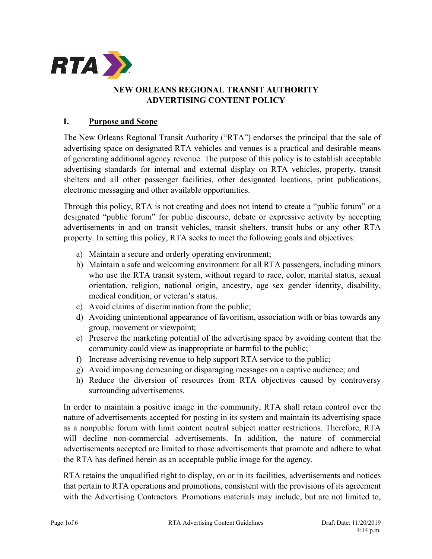

## **NEW ORLEANS REGIONAL TRANSIT AUTHORITY ADVERTISING CONTENT POLICY**

## **I. Purpose and Scope**

The New Orleans Regional Transit Authority ("RTA") endorses the principal that the sale of advertising space on designated RTA vehicles and venues is a practical and desirable means of generating additional agency revenue. The purpose of this policy is to establish acceptable advertising standards for internal and external display on RTA vehicles, property, transit shelters and all other passenger facilities, other designated locations, print publications, electronic messaging and other available opportunities.

Through this policy, RTA is not creating and does not intend to create a "public forum" or a designated "public forum" for public discourse, debate or expressive activity by accepting advertisements in and on transit vehicles, transit shelters, transit hubs or any other RTA property. In setting this policy, RTA seeks to meet the following goals and objectives:

- a) Maintain a secure and orderly operating environment;
- b) Maintain a safe and welcoming environment for all RTA passengers, including minors who use the RTA transit system, without regard to race, color, marital status, sexual orientation, religion, national origin, ancestry, age sex gender identity, disability, medical condition, or veteran's status.
- c) Avoid claims of discrimination from the public;
- d) Avoiding unintentional appearance of favoritism, association with or bias towards any group, movement or viewpoint;
- e) Preserve the marketing potential of the advertising space by avoiding content that the community could view as inappropriate or harmful to the public;
- f) Increase advertising revenue to help support RTA service to the public;
- g) Avoid imposing demeaning or disparaging messages on a captive audience; and
- h) Reduce the diversion of resources from RTA objectives caused by controversy surrounding advertisements.

In order to maintain a positive image in the community, RTA shall retain control over the nature of advertisements accepted for posting in its system and maintain its advertising space as a nonpublic forum with limit content neutral subject matter restrictions. Therefore, RTA will decline non-commercial advertisements. In addition, the nature of commercial advertisements accepted are limited to those advertisements that promote and adhere to what the RTA has defined herein as an acceptable public image for the agency.

RTA retains the unqualified right to display, on or in its facilities, advertisements and notices that pertain to RTA operations and promotions, consistent with the provisions of its agreement with the Advertising Contractors. Promotions materials may include, but are not limited to,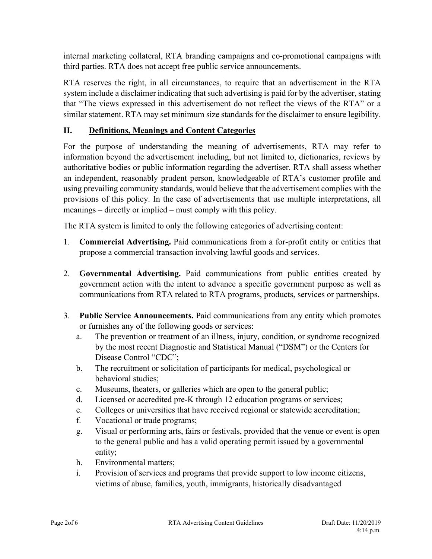internal marketing collateral, RTA branding campaigns and co-promotional campaigns with third parties. RTA does not accept free public service announcements.

RTA reserves the right, in all circumstances, to require that an advertisement in the RTA system include a disclaimer indicating that such advertising is paid for by the advertiser, stating that "The views expressed in this advertisement do not reflect the views of the RTA" or a similar statement. RTA may set minimum size standards for the disclaimer to ensure legibility.

## **II. Definitions, Meanings and Content Categories**

For the purpose of understanding the meaning of advertisements, RTA may refer to information beyond the advertisement including, but not limited to, dictionaries, reviews by authoritative bodies or public information regarding the advertiser. RTA shall assess whether an independent, reasonably prudent person, knowledgeable of RTA's customer profile and using prevailing community standards, would believe that the advertisement complies with the provisions of this policy. In the case of advertisements that use multiple interpretations, all meanings – directly or implied – must comply with this policy.

The RTA system is limited to only the following categories of advertising content:

- 1. **Commercial Advertising.** Paid communications from a for-profit entity or entities that propose a commercial transaction involving lawful goods and services.
- 2. **Governmental Advertising.** Paid communications from public entities created by government action with the intent to advance a specific government purpose as well as communications from RTA related to RTA programs, products, services or partnerships.
- 3. **Public Service Announcements.** Paid communications from any entity which promotes or furnishes any of the following goods or services:
	- a. The prevention or treatment of an illness, injury, condition, or syndrome recognized by the most recent Diagnostic and Statistical Manual ("DSM") or the Centers for Disease Control "CDC";
	- b. The recruitment or solicitation of participants for medical, psychological or behavioral studies;
	- c. Museums, theaters, or galleries which are open to the general public;
	- d. Licensed or accredited pre-K through 12 education programs or services;
	- e. Colleges or universities that have received regional or statewide accreditation;
	- f. Vocational or trade programs;
	- g. Visual or performing arts, fairs or festivals, provided that the venue or event is open to the general public and has a valid operating permit issued by a governmental entity;
	- h. Environmental matters;
	- i. Provision of services and programs that provide support to low income citizens, victims of abuse, families, youth, immigrants, historically disadvantaged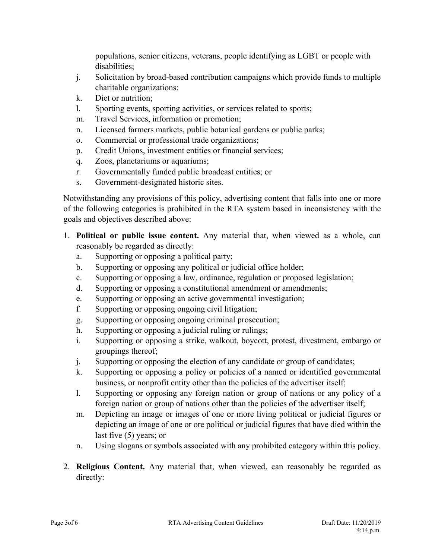populations, senior citizens, veterans, people identifying as LGBT or people with disabilities;

- j. Solicitation by broad-based contribution campaigns which provide funds to multiple charitable organizations;
- k. Diet or nutrition;
- l. Sporting events, sporting activities, or services related to sports;
- m. Travel Services, information or promotion;
- n. Licensed farmers markets, public botanical gardens or public parks;
- o. Commercial or professional trade organizations;
- p. Credit Unions, investment entities or financial services;
- q. Zoos, planetariums or aquariums;
- r. Governmentally funded public broadcast entities; or
- s. Government-designated historic sites.

Notwithstanding any provisions of this policy, advertising content that falls into one or more of the following categories is prohibited in the RTA system based in inconsistency with the goals and objectives described above:

- 1. **Political or public issue content.** Any material that, when viewed as a whole, can reasonably be regarded as directly:
	- a. Supporting or opposing a political party;
	- b. Supporting or opposing any political or judicial office holder;
	- c. Supporting or opposing a law, ordinance, regulation or proposed legislation;
	- d. Supporting or opposing a constitutional amendment or amendments;
	- e. Supporting or opposing an active governmental investigation;
	- f. Supporting or opposing ongoing civil litigation;
	- g. Supporting or opposing ongoing criminal prosecution;
	- h. Supporting or opposing a judicial ruling or rulings;
	- i. Supporting or opposing a strike, walkout, boycott, protest, divestment, embargo or groupings thereof;
	- j. Supporting or opposing the election of any candidate or group of candidates;
	- k. Supporting or opposing a policy or policies of a named or identified governmental business, or nonprofit entity other than the policies of the advertiser itself;
	- l. Supporting or opposing any foreign nation or group of nations or any policy of a foreign nation or group of nations other than the policies of the advertiser itself;
	- m. Depicting an image or images of one or more living political or judicial figures or depicting an image of one or ore political or judicial figures that have died within the last five (5) years; or
	- n. Using slogans or symbols associated with any prohibited category within this policy.
- 2. **Religious Content.** Any material that, when viewed, can reasonably be regarded as directly: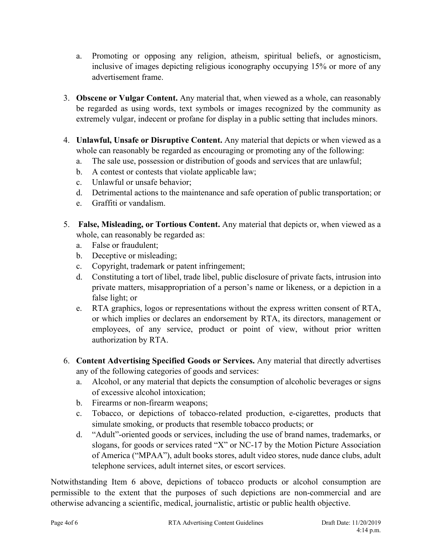- a. Promoting or opposing any religion, atheism, spiritual beliefs, or agnosticism, inclusive of images depicting religious iconography occupying 15% or more of any advertisement frame.
- 3. **Obscene or Vulgar Content.** Any material that, when viewed as a whole, can reasonably be regarded as using words, text symbols or images recognized by the community as extremely vulgar, indecent or profane for display in a public setting that includes minors.
- 4. **Unlawful, Unsafe or Disruptive Content.** Any material that depicts or when viewed as a whole can reasonably be regarded as encouraging or promoting any of the following:
	- a. The sale use, possession or distribution of goods and services that are unlawful;
	- b. A contest or contests that violate applicable law;
	- c. Unlawful or unsafe behavior;
	- d. Detrimental actions to the maintenance and safe operation of public transportation; or
	- e. Graffiti or vandalism.
- 5. **False, Misleading, or Tortious Content.** Any material that depicts or, when viewed as a whole, can reasonably be regarded as:
	- a. False or fraudulent;
	- b. Deceptive or misleading;
	- c. Copyright, trademark or patent infringement;
	- d. Constituting a tort of libel, trade libel, public disclosure of private facts, intrusion into private matters, misappropriation of a person's name or likeness, or a depiction in a false light; or
	- e. RTA graphics, logos or representations without the express written consent of RTA, or which implies or declares an endorsement by RTA, its directors, management or employees, of any service, product or point of view, without prior written authorization by RTA.
- 6. **Content Advertising Specified Goods or Services.** Any material that directly advertises any of the following categories of goods and services:
	- a. Alcohol, or any material that depicts the consumption of alcoholic beverages or signs of excessive alcohol intoxication;
	- b. Firearms or non-firearm weapons;
	- c. Tobacco, or depictions of tobacco-related production, e-cigarettes, products that simulate smoking, or products that resemble tobacco products; or
	- d. "Adult"-oriented goods or services, including the use of brand names, trademarks, or slogans, for goods or services rated "X" or NC-17 by the Motion Picture Association of America ("MPAA"), adult books stores, adult video stores, nude dance clubs, adult telephone services, adult internet sites, or escort services.

Notwithstanding Item 6 above, depictions of tobacco products or alcohol consumption are permissible to the extent that the purposes of such depictions are non-commercial and are otherwise advancing a scientific, medical, journalistic, artistic or public health objective.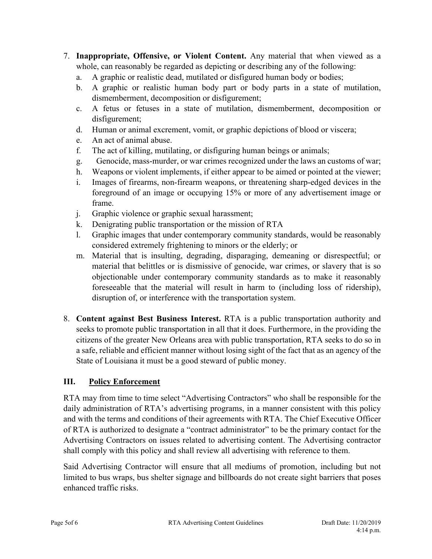- 7. **Inappropriate, Offensive, or Violent Content.** Any material that when viewed as a whole, can reasonably be regarded as depicting or describing any of the following:
	- a. A graphic or realistic dead, mutilated or disfigured human body or bodies;
	- b. A graphic or realistic human body part or body parts in a state of mutilation, dismemberment, decomposition or disfigurement;
	- c. A fetus or fetuses in a state of mutilation, dismemberment, decomposition or disfigurement;
	- d. Human or animal excrement, vomit, or graphic depictions of blood or viscera;
	- e. An act of animal abuse.
	- f. The act of killing, mutilating, or disfiguring human beings or animals;
	- g. Genocide, mass-murder, or war crimes recognized under the laws an customs of war;
	- h. Weapons or violent implements, if either appear to be aimed or pointed at the viewer;
	- i. Images of firearms, non-firearm weapons, or threatening sharp-edged devices in the foreground of an image or occupying 15% or more of any advertisement image or frame.
	- j. Graphic violence or graphic sexual harassment;
	- k. Denigrating public transportation or the mission of RTA
	- l. Graphic images that under contemporary community standards, would be reasonably considered extremely frightening to minors or the elderly; or
	- m. Material that is insulting, degrading, disparaging, demeaning or disrespectful; or material that belittles or is dismissive of genocide, war crimes, or slavery that is so objectionable under contemporary community standards as to make it reasonably foreseeable that the material will result in harm to (including loss of ridership), disruption of, or interference with the transportation system.
- 8. **Content against Best Business Interest.** RTA is a public transportation authority and seeks to promote public transportation in all that it does. Furthermore, in the providing the citizens of the greater New Orleans area with public transportation, RTA seeks to do so in a safe, reliable and efficient manner without losing sight of the fact that as an agency of the State of Louisiana it must be a good steward of public money.

## **III. Policy Enforcement**

RTA may from time to time select "Advertising Contractors" who shall be responsible for the daily administration of RTA's advertising programs, in a manner consistent with this policy and with the terms and conditions of their agreements with RTA. The Chief Executive Officer of RTA is authorized to designate a "contract administrator" to be the primary contact for the Advertising Contractors on issues related to advertising content. The Advertising contractor shall comply with this policy and shall review all advertising with reference to them.

Said Advertising Contractor will ensure that all mediums of promotion, including but not limited to bus wraps, bus shelter signage and billboards do not create sight barriers that poses enhanced traffic risks.